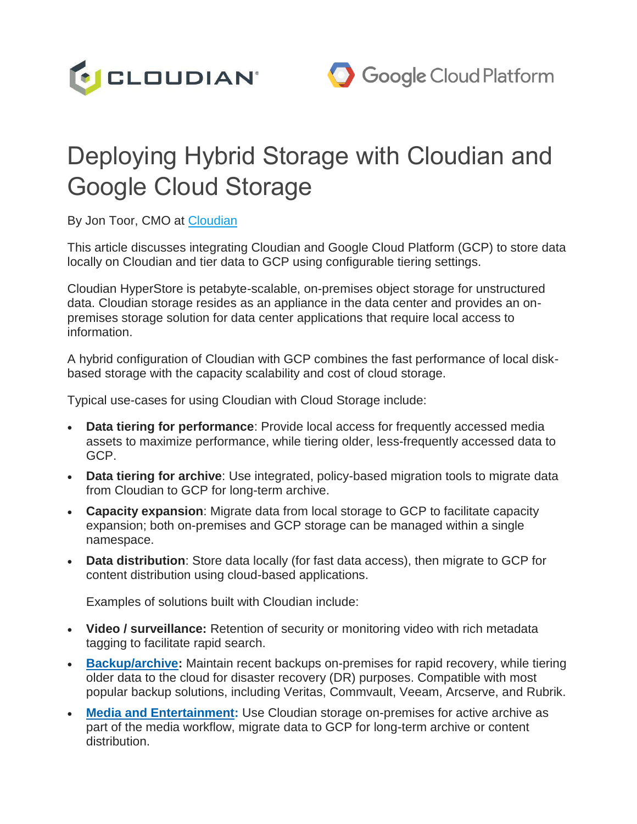

# Deploying Hybrid Storage with Cloudian and Google Cloud Storage

By Jon Toor, CMO at [Cloudian](https://cloudian.com/)

This article discusses integrating Cloudian and Google Cloud Platform (GCP) to store data locally on Cloudian and tier data to GCP using configurable tiering settings.

Cloudian HyperStore is petabyte-scalable, on-premises object storage for unstructured data. Cloudian storage resides as an appliance in the data center and provides an onpremises storage solution for data center applications that require local access to information.

A hybrid configuration of Cloudian with GCP combines the fast performance of local diskbased storage with the capacity scalability and cost of cloud storage.

Typical use-cases for using Cloudian with Cloud Storage include:

- **Data tiering for performance**: Provide local access for frequently accessed media assets to maximize performance, while tiering older, less-frequently accessed data to GCP.
- **Data tiering for archive**: Use integrated, policy-based migration tools to migrate data from Cloudian to GCP for long-term archive.
- **Capacity expansion**: Migrate data from local storage to GCP to facilitate capacity expansion; both on-premises and GCP storage can be managed within a single namespace.
- **Data distribution**: Store data locally (for fast data access), then migrate to GCP for content distribution using cloud-based applications.

Examples of solutions built with Cloudian include:

- **Video / surveillance:** Retention of security or monitoring video with rich metadata tagging to facilitate rapid search.
- **[Backup/archive:](https://cloudian.com/backup-and-archive/)** Maintain recent backups on-premises for rapid recovery, while tiering older data to the cloud for disaster recovery (DR) purposes. Compatible with most popular backup solutions, including Veritas, Commvault, Veeam, Arcserve, and Rubrik.
- **[Media and Entertainment:](https://cloudian.com/media-and-entertainment/)** Use Cloudian storage on-premises for active archive as part of the media workflow, migrate data to GCP for long-term archive or content distribution.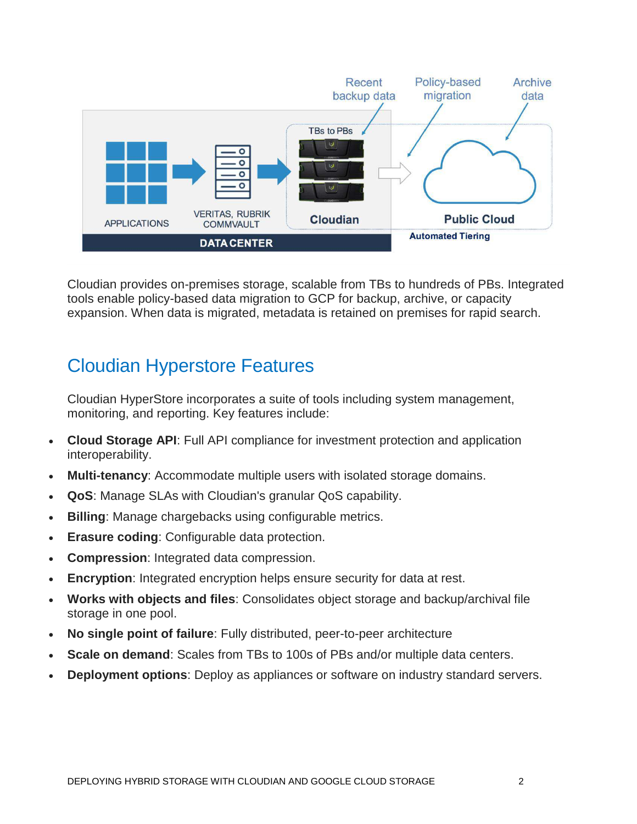

Cloudian provides on-premises storage, scalable from TBs to hundreds of PBs. Integrated tools enable policy-based data migration to GCP for backup, archive, or capacity expansion. When data is migrated, metadata is retained on premises for rapid search.

# Cloudian Hyperstore Features

Cloudian HyperStore incorporates a suite of tools including system management, monitoring, and reporting. Key features include:

- **Cloud Storage API**: Full API compliance for investment protection and application interoperability.
- **Multi-tenancy**: Accommodate multiple users with isolated storage domains.
- **QoS**: Manage SLAs with Cloudian's granular QoS capability.
- **Billing**: Manage chargebacks using configurable metrics.
- **Erasure coding**: Configurable data protection.
- **Compression**: Integrated data compression.
- **Encryption**: Integrated encryption helps ensure security for data at rest.
- **Works with objects and files**: Consolidates object storage and backup/archival file storage in one pool.
- **No single point of failure**: Fully distributed, peer-to-peer architecture
- **Scale on demand:** Scales from TBs to 100s of PBs and/or multiple data centers.
- **Deployment options**: Deploy as appliances or software on industry standard servers.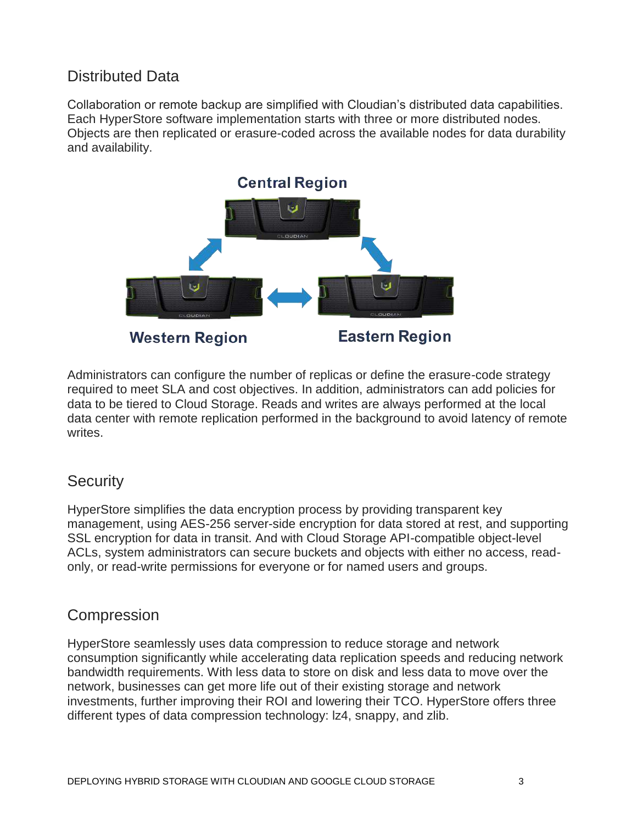### Distributed Data

Collaboration or remote backup are simplified with Cloudian's distributed data capabilities. Each HyperStore software implementation starts with three or more distributed nodes. Objects are then replicated or erasure-coded across the available nodes for data durability and availability.



**Western Region** 

**Eastern Region** 

Administrators can configure the number of replicas or define the erasure-code strategy required to meet SLA and cost objectives. In addition, administrators can add policies for data to be tiered to Cloud Storage. Reads and writes are always performed at the local data center with remote replication performed in the background to avoid latency of remote writes.

#### **Security**

HyperStore simplifies the data encryption process by providing transparent key management, using AES-256 server-side encryption for data stored at rest, and supporting SSL encryption for data in transit. And with Cloud Storage API-compatible object-level ACLs, system administrators can secure buckets and objects with either no access, readonly, or read-write permissions for everyone or for named users and groups.

#### Compression

HyperStore seamlessly uses data compression to reduce storage and network consumption significantly while accelerating data replication speeds and reducing network bandwidth requirements. With less data to store on disk and less data to move over the network, businesses can get more life out of their existing storage and network investments, further improving their ROI and lowering their TCO. HyperStore offers three different types of data compression technology: lz4, snappy, and zlib.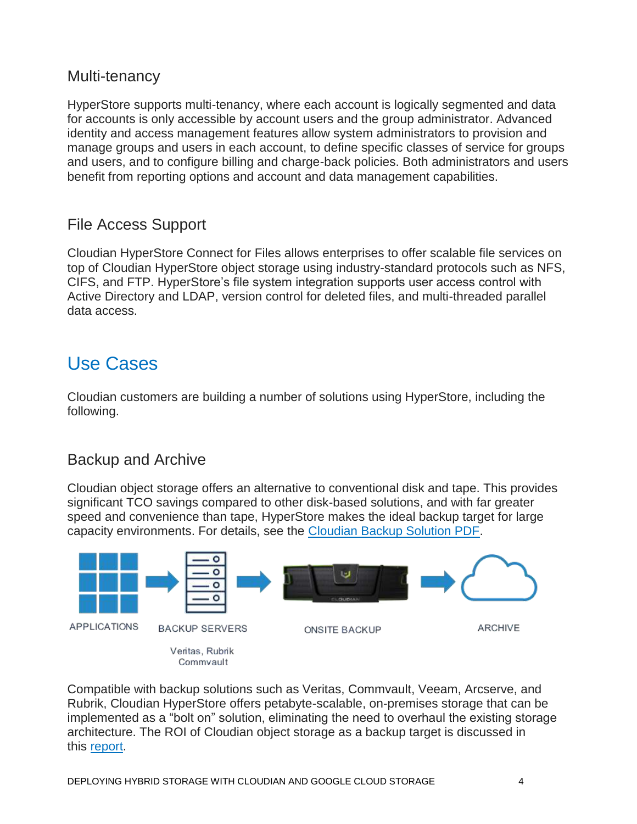#### Multi-tenancy

HyperStore supports multi-tenancy, where each account is logically segmented and data for accounts is only accessible by account users and the group administrator. Advanced identity and access management features allow system administrators to provision and manage groups and users in each account, to define specific classes of service for groups and users, and to configure billing and charge-back policies. Both administrators and users benefit from reporting options and account and data management capabilities.

#### File Access Support

Cloudian HyperStore Connect for Files allows enterprises to offer scalable file services on top of Cloudian HyperStore object storage using industry-standard protocols such as NFS, CIFS, and FTP. HyperStore's file system integration supports user access control with Active Directory and LDAP, version control for deleted files, and multi-threaded parallel data access.

# Use Cases

Cloudian customers are building a number of solutions using HyperStore, including the following.

### Backup and Archive

Cloudian object storage offers an alternative to conventional disk and tape. This provides significant TCO savings compared to other disk-based solutions, and with far greater speed and convenience than tape, HyperStore makes the ideal backup target for large capacity environments. For details, see the [Cloudian Backup Solution PDF.](http://cloudian.com/wp-content/uploads/2016/12/Cloudian-Backup-Solutions.pdf)



Compatible with backup solutions such as Veritas, Commvault, Veeam, Arcserve, and Rubrik, Cloudian HyperStore offers petabyte-scalable, on-premises storage that can be implemented as a "bolt on" solution, eliminating the need to overhaul the existing storage architecture. The ROI of Cloudian object storage as a backup target is discussed in this [report.](https://cloudian.com/tco-report-object-storage-delivers-better-backup/)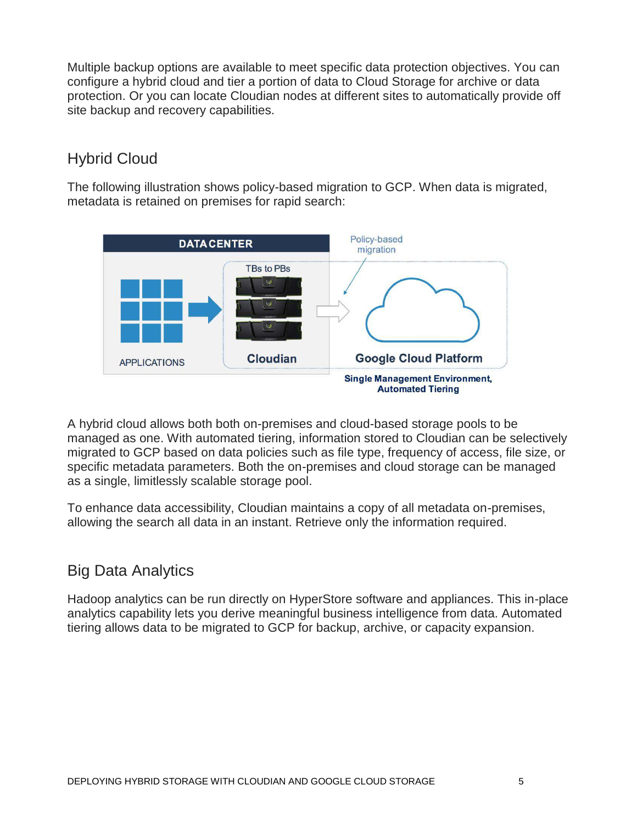Multiple backup options are available to meet specific data protection objectives. You can configure a hybrid cloud and tier a portion of data to Cloud Storage for archive or data protection. Or you can locate Cloudian nodes at different sites to automatically provide off site backup and recovery capabilities.

### Hybrid Cloud

The following illustration shows policy-based migration to GCP. When data is migrated, metadata is retained on premises for rapid search:



A hybrid cloud allows both both on-premises and cloud-based storage pools to be managed as one. With automated tiering, information stored to Cloudian can be selectively migrated to GCP based on data policies such as file type, frequency of access, file size, or specific metadata parameters. Both the on-premises and cloud storage can be managed as a single, limitlessly scalable storage pool.

To enhance data accessibility, Cloudian maintains a copy of all metadata on-premises, allowing the search all data in an instant. Retrieve only the information required.

## Big Data Analytics

Hadoop analytics can be run directly on HyperStore software and appliances. This in-place analytics capability lets you derive meaningful business intelligence from data. Automated tiering allows data to be migrated to GCP for backup, archive, or capacity expansion.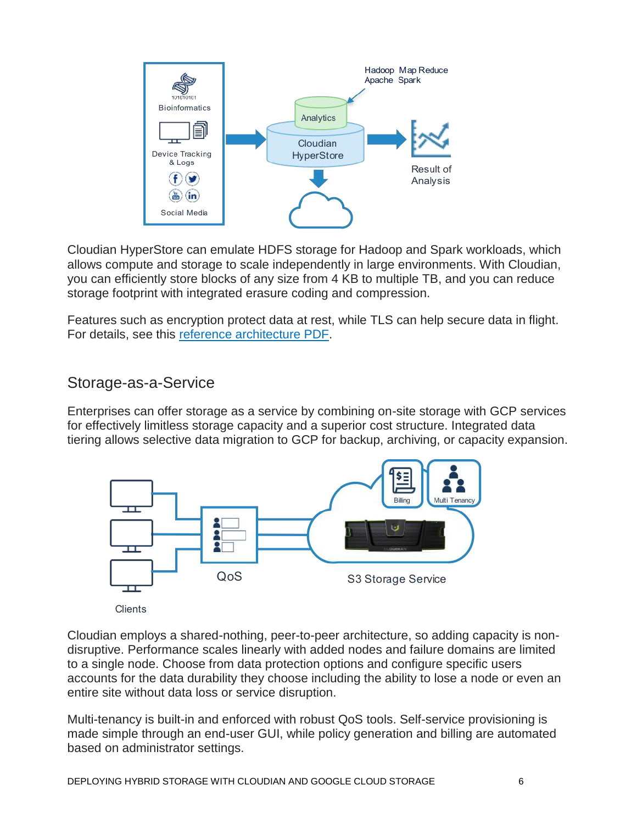

Cloudian HyperStore can emulate HDFS storage for Hadoop and Spark workloads, which allows compute and storage to scale independently in large environments. With Cloudian, you can efficiently store blocks of any size from 4 KB to multiple TB, and you can reduce storage footprint with integrated erasure coding and compression.

Features such as encryption protect data at rest, while TLS can help secure data in flight. For details, see this [reference architecture PDF.](https://cloudian.com/wp-content/uploads/2015/09/analytics-hadoop-cloudian-solution-reference-architecture-final.pdf)

#### Storage-as-a-Service

Enterprises can offer storage as a service by combining on-site storage with GCP services for effectively limitless storage capacity and a superior cost structure. Integrated data tiering allows selective data migration to GCP for backup, archiving, or capacity expansion.



Cloudian employs a shared-nothing, peer-to-peer architecture, so adding capacity is nondisruptive. Performance scales linearly with added nodes and failure domains are limited to a single node. Choose from data protection options and configure specific users accounts for the data durability they choose including the ability to lose a node or even an entire site without data loss or service disruption.

Multi-tenancy is built-in and enforced with robust QoS tools. Self-service provisioning is made simple through an end-user GUI, while policy generation and billing are automated based on administrator settings.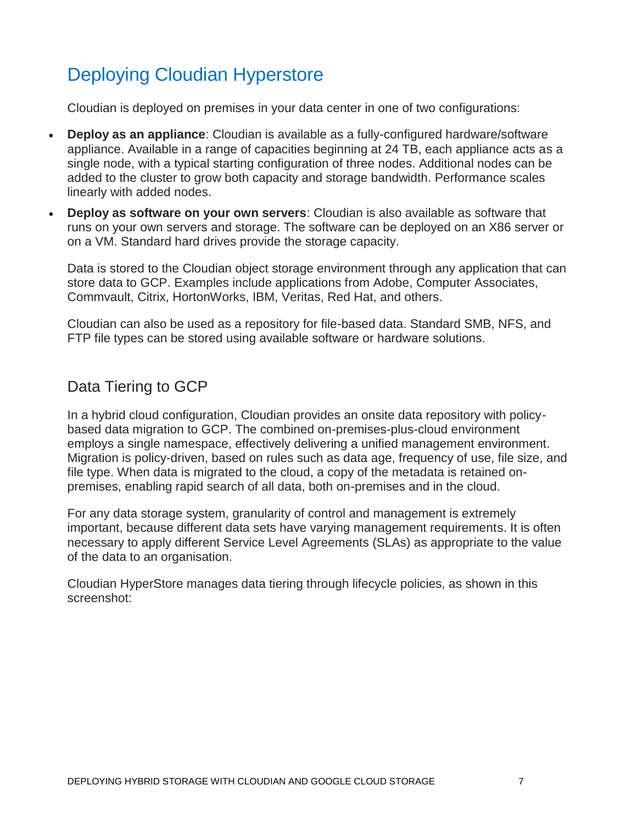# Deploying Cloudian Hyperstore

Cloudian is deployed on premises in your data center in one of two configurations:

- **Deploy as an appliance**: Cloudian is available as a fully-configured hardware/software appliance. Available in a range of capacities beginning at 24 TB, each appliance acts as a single node, with a typical starting configuration of three nodes. Additional nodes can be added to the cluster to grow both capacity and storage bandwidth. Performance scales linearly with added nodes.
- **Deploy as software on your own servers**: Cloudian is also available as software that runs on your own servers and storage. The software can be deployed on an X86 server or on a VM. Standard hard drives provide the storage capacity.

Data is stored to the Cloudian object storage environment through any application that can store data to GCP. Examples include applications from Adobe, Computer Associates, Commvault, Citrix, HortonWorks, IBM, Veritas, Red Hat, and others.

Cloudian can also be used as a repository for file-based data. Standard SMB, NFS, and FTP file types can be stored using available software or hardware solutions.

### Data Tiering to GCP

In a hybrid cloud configuration, Cloudian provides an onsite data repository with policybased data migration to GCP. The combined on-premises-plus-cloud environment employs a single namespace, effectively delivering a unified management environment. Migration is policy-driven, based on rules such as data age, frequency of use, file size, and file type. When data is migrated to the cloud, a copy of the metadata is retained onpremises, enabling rapid search of all data, both on-premises and in the cloud.

For any data storage system, granularity of control and management is extremely important, because different data sets have varying management requirements. It is often necessary to apply different Service Level Agreements (SLAs) as appropriate to the value of the data to an organisation.

Cloudian HyperStore manages data tiering through lifecycle policies, as shown in this screenshot: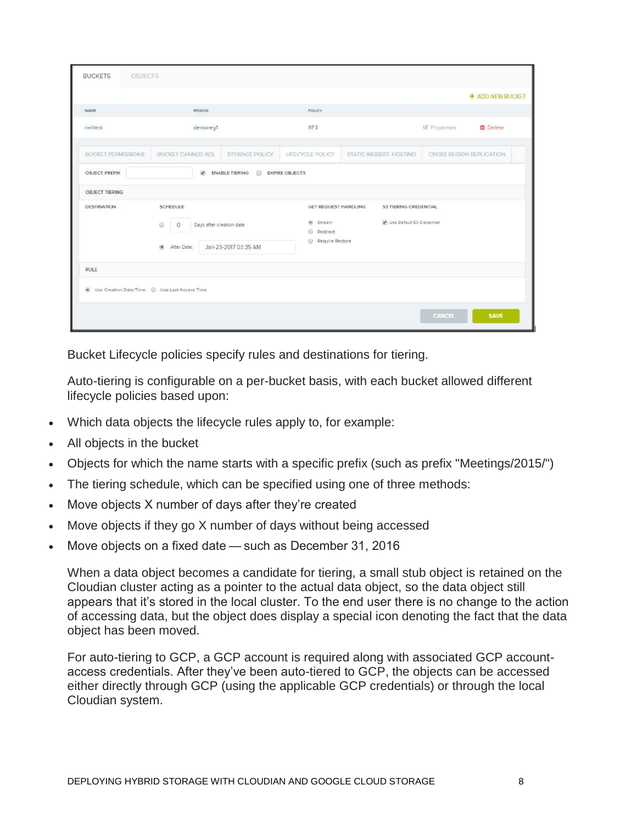| OBJECTS<br><b>BUCKETS</b>                      |                                                                                                    |                |                                                                                                                                             |                        |                     |                          |
|------------------------------------------------|----------------------------------------------------------------------------------------------------|----------------|---------------------------------------------------------------------------------------------------------------------------------------------|------------------------|---------------------|--------------------------|
|                                                |                                                                                                    |                |                                                                                                                                             |                        |                     | + ADD NEW BUCKET         |
| NAME                                           | REGION                                                                                             |                | <b>POLICY</b>                                                                                                                               |                        |                     |                          |
| neiltest                                       | demoreg1                                                                                           |                | RF3                                                                                                                                         |                        | <b>排 Properties</b> | <b>D</b> Delete          |
| <b>BUCKET PERMISSIONS</b>                      | <b>BUCKET CANNED ACL</b>                                                                           | STORAGE POLICY | LIFECYCLE POLICY                                                                                                                            | STATIC WEBSITE HOSTING |                     | CROSS REGION REPLICATION |
| OBJECT PREFIX                                  | $\omega$<br>ENABLE TIERING EXPIRE OBJECTS                                                          |                |                                                                                                                                             |                        |                     |                          |
| <b>OBJECT TIERING</b>                          |                                                                                                    |                |                                                                                                                                             |                        |                     |                          |
| <b>DESTINATION</b>                             | SCHEDULE<br>Ü<br>Days after creation date<br>$\circ$<br>Jan-23-2017 03:35 AM<br>úù.<br>After Date: |                | <b>GET REQUEST HANDLING</b><br><b>S3 TIERING CREDENTIAL</b><br>Use Default S3 Credential<br>(a) Stream<br>Redirect<br>o.<br>Require Restore |                        |                     |                          |
| RULE                                           |                                                                                                    |                |                                                                                                                                             |                        |                     |                          |
| Dise Creation Date/Time . Use Last Access Time |                                                                                                    |                |                                                                                                                                             |                        |                     |                          |
|                                                |                                                                                                    |                |                                                                                                                                             |                        | CANCEL              | <b>SAVE</b>              |

Bucket Lifecycle policies specify rules and destinations for tiering.

Auto-tiering is configurable on a per-bucket basis, with each bucket allowed different lifecycle policies based upon:

- Which data objects the lifecycle rules apply to, for example:
- All objects in the bucket
- Objects for which the name starts with a specific prefix (such as prefix "Meetings/2015/")
- The tiering schedule, which can be specified using one of three methods:
- Move objects X number of days after they're created
- Move objects if they go X number of days without being accessed
- Move objects on a fixed date — such as December 31, 2016

When a data object becomes a candidate for tiering, a small stub object is retained on the Cloudian cluster acting as a pointer to the actual data object, so the data object still appears that it's stored in the local cluster. To the end user there is no change to the action of accessing data, but the object does display a special icon denoting the fact that the data object has been moved.

For auto-tiering to GCP, a GCP account is required along with associated GCP accountaccess credentials. After they've been auto-tiered to GCP, the objects can be accessed either directly through GCP (using the applicable GCP credentials) or through the local Cloudian system.